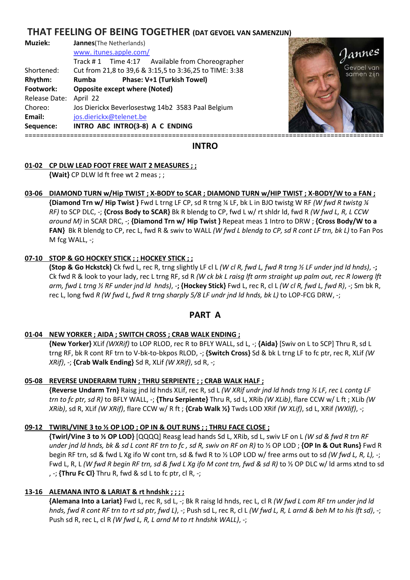# **THAT FEELING OF BEING TOGETHER (DAT GEVOEL VAN SAMENZIJN)**

| Muziek:       | <b>Jannes</b> (The Netherlands)                         |                          |
|---------------|---------------------------------------------------------|--------------------------|
|               | www.itunes.apple.com/                                   | Jannes                   |
|               | Track #1 Time 4:17 Available from Choreographer         |                          |
| Shortened:    | Cut from 21,8 to 39,6 & 3:15,5 to 3:36,25 to TIME: 3:38 | Gevoel van<br>samen zijn |
| Rhythm:       | Phase: V+1 (Turkish Towel)<br>Rumba                     |                          |
| Footwork:     | <b>Opposite except where (Noted)</b>                    |                          |
| Release Date: | April 22                                                |                          |
| Choreo:       | Jos Dierickx Beverlosestwg 14b2 3583 Paal Belgium       |                          |
| Email:        | jos.dierickx@telenet.be                                 |                          |
| Sequence:     | INTRO ABC INTRO(3-8) A C ENDING                         |                          |
|               |                                                         |                          |



**INTRO** 

## **01-02 CP DLW LEAD FOOT FREE WAIT 2 MEASURES ; ;**

 **{Wait}** CP DLW ld ft free wt 2 meas ; ;

## **03-06 DIAMOND TURN w/Hip TWIST ; X-BODY to SCAR ; DIAMOND TURN w/HIP TWIST ; X-BODY/W to a FAN ;**

 **{Diamond Trn w/ Hip Twist }** Fwd L trng LF CP, sd R trng ¼ LF, bk L in BJO twistg W RF *(W fwd R twistg ¼ RF)* to SCP DLC, *-*; **{Cross Body to SCAR}** Bk R blendg to CP, fwd L w/ rt shldr ld, fwd R *(W fwd L, R, L CCW around M)* in SCAR DRC, -; **{Diamond Trn w/ Hip Twist }** Repeat meas 1 Intro to DRW ; **{Cross Body/W to a FAN}** Bk R blendg to CP, rec L, fwd R & swiv to WALL *(W fwd L blendg to CP, sd R cont LF trn, bk L)* to Fan Pos M fcg WALL, -;

#### **07-10 STOP & GO HOCKEY STICK ; ; HOCKEY STICK ; ;**

 **(Stop & Go Hckstck)** Ck fwd L, rec R, trng slightly LF cl L *(W cl R, fwd L, fwd R trng ½ LF under jnd ld hnds)*, -**;**  Ck fwd R & look to your lady, rec L trng RF, sd R *(W ck bk L raisg lft arm straight up palm out, rec R lowerg lft arm, fwd L trng ½ RF under jnd ld hnds)*, -**; {Hockey Stick}** Fwd L, rec R, cl L *(W cl R, fwd L, fwd R)*, -; Sm bk R, rec L, long fwd *R (W fwd L, fwd R trng sharply 5/8 LF undr jnd ld hnds, bk L)* to LOP-FCG DRW, -;

# **PART A**

## **01-04 NEW YORKER ; AIDA ; SWITCH CROSS ; CRAB WALK ENDING ;**

 **{New Yorker}** XLif *(WXRif)* to LOP RLOD, rec R to BFLY WALL, sd L, -; **{Aida}** [Swiv on L to SCP] Thru R, sd L trng RF, bk R cont RF trn to V-bk-to-bkpos RLOD, -; **{Switch Cross}** Sd & bk L trng LF to fc ptr, rec R, XLif *(W XRif)*, -; **{Crab Walk Ending}** Sd R, XLif *(W XRif)*, sd R, -;

#### **05-08 REVERSE UNDERARM TURN ; THRU SERPIENTE ; ; CRAB WALK HALF ;**

 **{Reverse Undarm Trn}** Raisg jnd ld hnds XLif, rec R, sd L *(W XRif undr jnd ld hnds trng ½ LF, rec L contg LF trn to fc ptr, sd R)* to BFLY WALL, -; **{Thru Serpiente}** Thru R, sd L, XRib *(W XLib)*, flare CCW w/ L ft ; XLib *(W XRib)*, sd R, XLif *(W XRif)*, flare CCW w/ R ft ; **{Crab Walk ½}** Twds LOD XRif *(W XLif)*, sd L, XRif *(WXlif)*, -;

## **09-12 TWIRL/VINE 3 to ½ OP LOD ; OP IN & OUT RUNS ; ; THRU FACE CLOSE ;**

 **{Twirl/Vine 3 to ½ OP LOD}** [QQQQ] Reasg lead hands Sd L, XRib, sd L, swiv LF on L *(W sd & fwd R trn RF under jnd ld hnds, bk & sd L cont RF trn to fc , sd R, swiv on RF on R)* to ½ OP LOD ; **{OP In & Out Runs}** Fwd R begin RF trn, sd & fwd L Xg ifo W cont trn, sd & fwd R to ½ LOP LOD w/ free arms out to sd *(W fwd L, R, L), -*; Fwd L, R, L (W fwd R begin RF trn, sd & fwd L Xg ifo M cont trn, fwd & sd R) to 1/2 OP DLC w/ ld arms xtnd to sd , -; **{Thru Fc Cl}** Thru R, fwd & sd L to fc ptr, cl R, -;

## **13-16 ALEMANA INTO & LARIAT & rt hndshk ; ; ; ;**

 **{Alemana Into a Lariat}** Fwd L, rec R, sd L, -; Bk R raisg ld hnds, rec L, cl R *(W fwd L com RF trn under jnd ld hnds, fwd R cont RF trn to rt sd ptr, fwd L)*, -; Push sd L, rec R, cl L *(W fwd L, R, L arnd & beh M to his lft sd)*, -; Push sd R, rec L, cl R *(W fwd L, R, L arnd M to rt hndshk WALL)*, -;